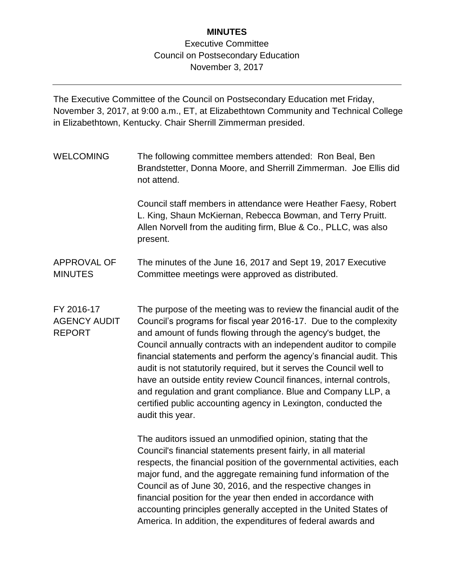## **MINUTES**

## Executive Committee Council on Postsecondary Education November 3, 2017

The Executive Committee of the Council on Postsecondary Education met Friday, November 3, 2017, at 9:00 a.m., ET, at Elizabethtown Community and Technical College in Elizabethtown, Kentucky. Chair Sherrill Zimmerman presided.

WELCOMING The following committee members attended: Ron Beal, Ben Brandstetter, Donna Moore, and Sherrill Zimmerman. Joe Ellis did not attend.

> Council staff members in attendance were Heather Faesy, Robert L. King, Shaun McKiernan, Rebecca Bowman, and Terry Pruitt. Allen Norvell from the auditing firm, Blue & Co., PLLC, was also present.

APPROVAL OF MINUTES The minutes of the June 16, 2017 and Sept 19, 2017 Executive Committee meetings were approved as distributed.

FY 2016-17 AGENCY AUDIT REPORT The purpose of the meeting was to review the financial audit of the Council's programs for fiscal year 2016-17. Due to the complexity and amount of funds flowing through the agency's budget, the Council annually contracts with an independent auditor to compile financial statements and perform the agency's financial audit. This audit is not statutorily required, but it serves the Council well to have an outside entity review Council finances, internal controls, and regulation and grant compliance. Blue and Company LLP, a certified public accounting agency in Lexington, conducted the audit this year.

> The auditors issued an unmodified opinion, stating that the Council's financial statements present fairly, in all material respects, the financial position of the governmental activities, each major fund, and the aggregate remaining fund information of the Council as of June 30, 2016, and the respective changes in financial position for the year then ended in accordance with accounting principles generally accepted in the United States of America. In addition, the expenditures of federal awards and